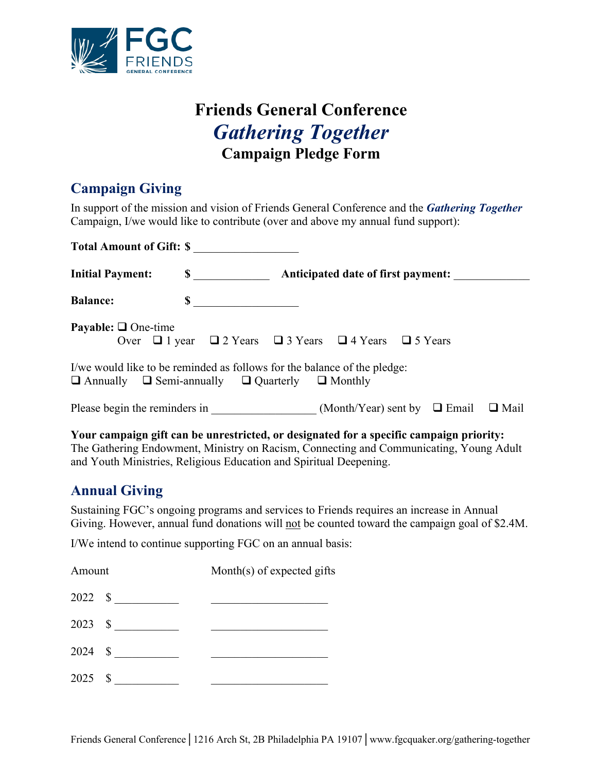

# **Friends General Conference** *Gathering Together* **Campaign Pledge Form**

#### **Campaign Giving**

In support of the mission and vision of Friends General Conference and the *Gathering Together* Campaign, I/we would like to contribute (over and above my annual fund support):

| <b>Total Amount of Gift: \$</b> |                               |                                                                                                                                                  |
|---------------------------------|-------------------------------|--------------------------------------------------------------------------------------------------------------------------------------------------|
| <b>Initial Payment:</b>         | $\mathbf S$                   | Anticipated date of first payment:                                                                                                               |
| <b>Balance:</b>                 | $\mathbf S$                   |                                                                                                                                                  |
| <b>Payable:</b> $\Box$ One-time |                               | Over $\Box$ 1 year $\Box$ 2 Years $\Box$ 3 Years $\Box$ 4 Years $\Box$ 5 Years                                                                   |
|                                 |                               | I/we would like to be reminded as follows for the balance of the pledge:<br>$\Box$ Annually $\Box$ Semi-annually $\Box$ Quarterly $\Box$ Monthly |
|                                 | Please begin the reminders in | (Month/Year) sent by $\Box$ Email<br>$\Box$ Mail                                                                                                 |

**Your campaign gift can be unrestricted, or designated for a specific campaign priority:** The Gathering Endowment, Ministry on Racism, Connecting and Communicating, Young Adult and Youth Ministries, Religious Education and Spiritual Deepening.

## **Annual Giving**

Sustaining FGC's ongoing programs and services to Friends requires an increase in Annual Giving. However, annual fund donations will not be counted toward the campaign goal of \$2.4M.

I/We intend to continue supporting FGC on an annual basis:

| Amount    |         | Month(s) of expected gifts |  |
|-----------|---------|----------------------------|--|
|           | 2022 \$ |                            |  |
|           | 2023 \$ |                            |  |
|           | 2024 \$ |                            |  |
| $2025$ \$ |         |                            |  |